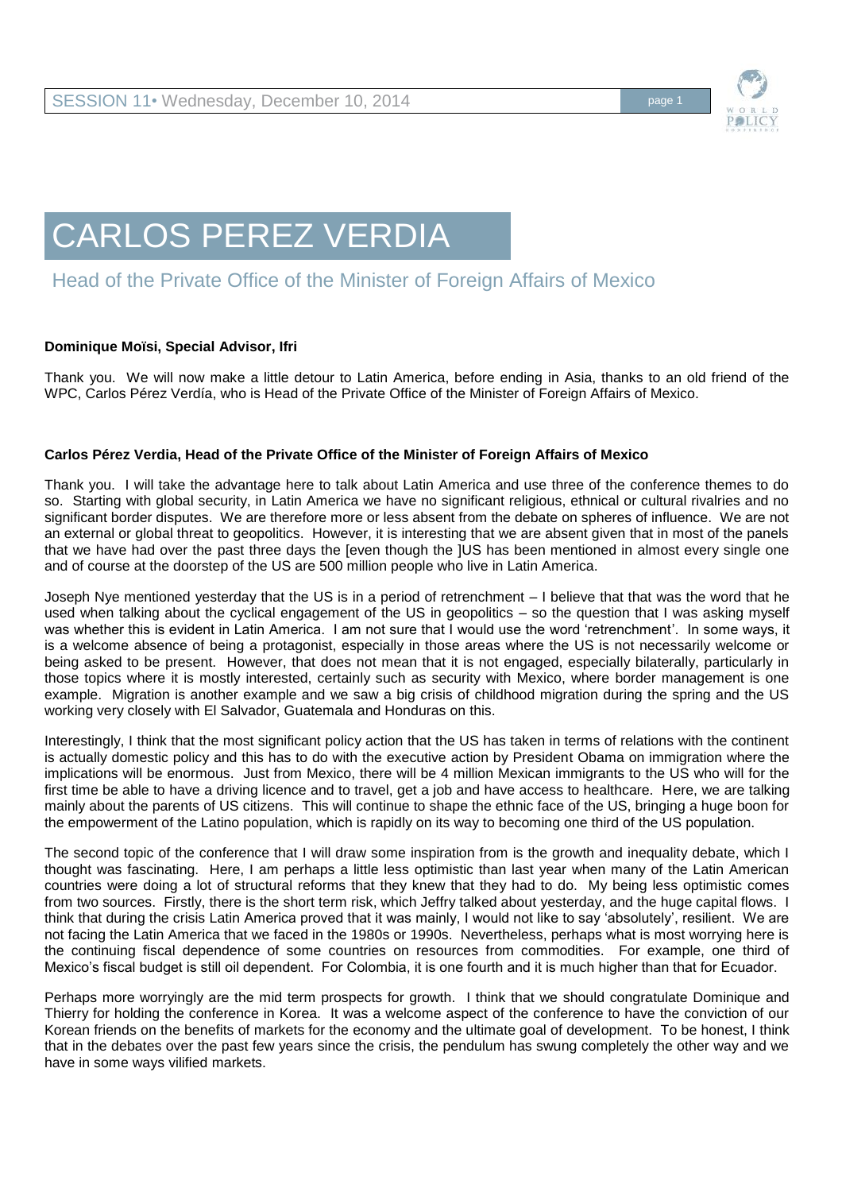

## CARLOS PEREZ VERDIA

## Head of the Private Office of the Minister of Foreign Affairs of Mexico

## **Dominique Moïsi, Special Advisor, Ifri**

Thank you. We will now make a little detour to Latin America, before ending in Asia, thanks to an old friend of the WPC, Carlos Pérez Verdía, who is Head of the Private Office of the Minister of Foreign Affairs of Mexico.

## **Carlos Pérez Verdia, Head of the Private Office of the Minister of Foreign Affairs of Mexico**

Thank you. I will take the advantage here to talk about Latin America and use three of the conference themes to do so. Starting with global security, in Latin America we have no significant religious, ethnical or cultural rivalries and no significant border disputes. We are therefore more or less absent from the debate on spheres of influence. We are not an external or global threat to geopolitics. However, it is interesting that we are absent given that in most of the panels that we have had over the past three days the [even though the ]US has been mentioned in almost every single one and of course at the doorstep of the US are 500 million people who live in Latin America.

Joseph Nye mentioned yesterday that the US is in a period of retrenchment – I believe that that was the word that he used when talking about the cyclical engagement of the US in geopolitics – so the question that I was asking myself was whether this is evident in Latin America. I am not sure that I would use the word 'retrenchment'. In some ways, it is a welcome absence of being a protagonist, especially in those areas where the US is not necessarily welcome or being asked to be present. However, that does not mean that it is not engaged, especially bilaterally, particularly in those topics where it is mostly interested, certainly such as security with Mexico, where border management is one example. Migration is another example and we saw a big crisis of childhood migration during the spring and the US working very closely with El Salvador, Guatemala and Honduras on this.

Interestingly, I think that the most significant policy action that the US has taken in terms of relations with the continent is actually domestic policy and this has to do with the executive action by President Obama on immigration where the implications will be enormous. Just from Mexico, there will be 4 million Mexican immigrants to the US who will for the first time be able to have a driving licence and to travel, get a job and have access to healthcare. Here, we are talking mainly about the parents of US citizens. This will continue to shape the ethnic face of the US, bringing a huge boon for the empowerment of the Latino population, which is rapidly on its way to becoming one third of the US population.

The second topic of the conference that I will draw some inspiration from is the growth and inequality debate, which I thought was fascinating. Here, I am perhaps a little less optimistic than last year when many of the Latin American countries were doing a lot of structural reforms that they knew that they had to do. My being less optimistic comes from two sources. Firstly, there is the short term risk, which Jeffry talked about yesterday, and the huge capital flows. I think that during the crisis Latin America proved that it was mainly, I would not like to say 'absolutely', resilient. We are not facing the Latin America that we faced in the 1980s or 1990s. Nevertheless, perhaps what is most worrying here is the continuing fiscal dependence of some countries on resources from commodities. For example, one third of Mexico's fiscal budget is still oil dependent. For Colombia, it is one fourth and it is much higher than that for Ecuador.

Perhaps more worryingly are the mid term prospects for growth. I think that we should congratulate Dominique and Thierry for holding the conference in Korea. It was a welcome aspect of the conference to have the conviction of our Korean friends on the benefits of markets for the economy and the ultimate goal of development. To be honest, I think that in the debates over the past few years since the crisis, the pendulum has swung completely the other way and we have in some ways vilified markets.